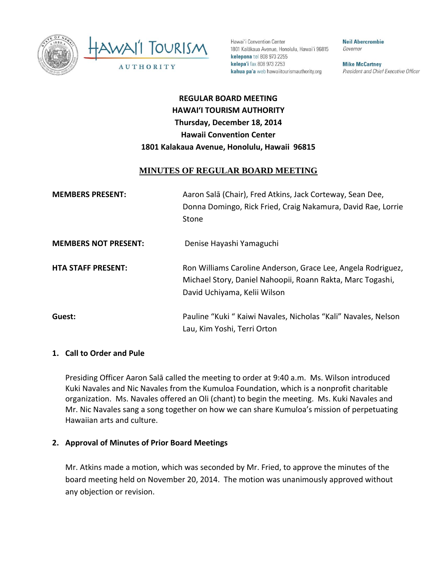



Hawai'i Convention Center 1801 Kalākaua Avenue, Honolulu, Hawai'i 96815 kelepona tel 808 973 2255 kelepa'i fax 808 973 2253 kahua pa'a web hawaiitourismauthority.org

**Neil Abercrombie** Governor

**Mike McCartney** President and Chief Executive Officer

# **REGULAR BOARD MEETING HAWAI'I TOURISM AUTHORITY Thursday, December 18, 2014 Hawaii Convention Center 1801 Kalakaua Avenue, Honolulu, Hawaii 96815**

## **MINUTES OF REGULAR BOARD MEETING**

| <b>MEMBERS PRESENT:</b>     | Aaron Salā (Chair), Fred Atkins, Jack Corteway, Sean Dee,<br>Donna Domingo, Rick Fried, Craig Nakamura, David Rae, Lorrie<br>Stone                         |
|-----------------------------|------------------------------------------------------------------------------------------------------------------------------------------------------------|
| <b>MEMBERS NOT PRESENT:</b> | Denise Hayashi Yamaguchi                                                                                                                                   |
| <b>HTA STAFF PRESENT:</b>   | Ron Williams Caroline Anderson, Grace Lee, Angela Rodriguez,<br>Michael Story, Daniel Nahoopii, Roann Rakta, Marc Togashi,<br>David Uchiyama, Kelii Wilson |
| Guest:                      | Pauline "Kuki " Kaiwi Navales, Nicholas "Kali" Navales, Nelson<br>Lau, Kim Yoshi, Terri Orton                                                              |

#### **1. Call to Order and Pule**

Presiding Officer Aaron Salā called the meeting to order at 9:40 a.m. Ms. Wilson introduced Kuki Navales and Nic Navales from the Kumuloa Foundation, which is a nonprofit charitable organization. Ms. Navales offered an Oli (chant) to begin the meeting. Ms. Kuki Navales and Mr. Nic Navales sang a song together on how we can share Kumuloa's mission of perpetuating Hawaiian arts and culture.

#### **2. Approval of Minutes of Prior Board Meetings**

Mr. Atkins made a motion, which was seconded by Mr. Fried, to approve the minutes of the board meeting held on November 20, 2014. The motion was unanimously approved without any objection or revision.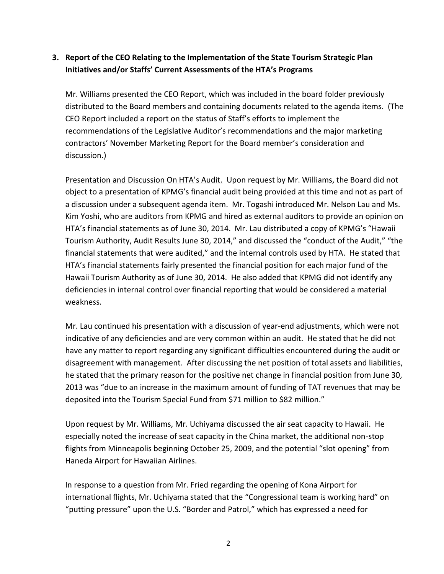## **3. Report of the CEO Relating to the Implementation of the State Tourism Strategic Plan Initiatives and/or Staffs' Current Assessments of the HTA's Programs**

Mr. Williams presented the CEO Report, which was included in the board folder previously distributed to the Board members and containing documents related to the agenda items. (The CEO Report included a report on the status of Staff's efforts to implement the recommendations of the Legislative Auditor's recommendations and the major marketing contractors' November Marketing Report for the Board member's consideration and discussion.)

Presentation and Discussion On HTA's Audit. Upon request by Mr. Williams, the Board did not object to a presentation of KPMG's financial audit being provided at this time and not as part of a discussion under a subsequent agenda item. Mr. Togashi introduced Mr. Nelson Lau and Ms. Kim Yoshi, who are auditors from KPMG and hired as external auditors to provide an opinion on HTA's financial statements as of June 30, 2014. Mr. Lau distributed a copy of KPMG's "Hawaii Tourism Authority, Audit Results June 30, 2014," and discussed the "conduct of the Audit," "the financial statements that were audited," and the internal controls used by HTA. He stated that HTA's financial statements fairly presented the financial position for each major fund of the Hawaii Tourism Authority as of June 30, 2014. He also added that KPMG did not identify any deficiencies in internal control over financial reporting that would be considered a material weakness.

Mr. Lau continued his presentation with a discussion of year-end adjustments, which were not indicative of any deficiencies and are very common within an audit. He stated that he did not have any matter to report regarding any significant difficulties encountered during the audit or disagreement with management. After discussing the net position of total assets and liabilities, he stated that the primary reason for the positive net change in financial position from June 30, 2013 was "due to an increase in the maximum amount of funding of TAT revenues that may be deposited into the Tourism Special Fund from \$71 million to \$82 million."

Upon request by Mr. Williams, Mr. Uchiyama discussed the air seat capacity to Hawaii. He especially noted the increase of seat capacity in the China market, the additional non-stop flights from Minneapolis beginning October 25, 2009, and the potential "slot opening" from Haneda Airport for Hawaiian Airlines.

In response to a question from Mr. Fried regarding the opening of Kona Airport for international flights, Mr. Uchiyama stated that the "Congressional team is working hard" on "putting pressure" upon the U.S. "Border and Patrol," which has expressed a need for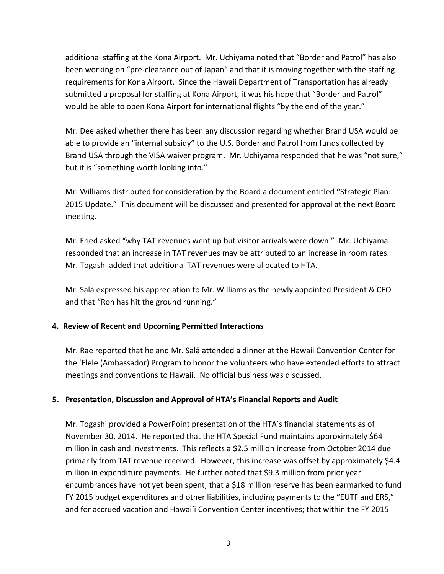additional staffing at the Kona Airport. Mr. Uchiyama noted that "Border and Patrol" has also been working on "pre-clearance out of Japan" and that it is moving together with the staffing requirements for Kona Airport. Since the Hawaii Department of Transportation has already submitted a proposal for staffing at Kona Airport, it was his hope that "Border and Patrol" would be able to open Kona Airport for international flights "by the end of the year."

Mr. Dee asked whether there has been any discussion regarding whether Brand USA would be able to provide an "internal subsidy" to the U.S. Border and Patrol from funds collected by Brand USA through the VISA waiver program. Mr. Uchiyama responded that he was "not sure," but it is "something worth looking into."

Mr. Williams distributed for consideration by the Board a document entitled "Strategic Plan: 2015 Update." This document will be discussed and presented for approval at the next Board meeting.

Mr. Fried asked "why TAT revenues went up but visitor arrivals were down." Mr. Uchiyama responded that an increase in TAT revenues may be attributed to an increase in room rates. Mr. Togashi added that additional TAT revenues were allocated to HTA.

Mr. Salā expressed his appreciation to Mr. Williams as the newly appointed President & CEO and that "Ron has hit the ground running."

## **4. Review of Recent and Upcoming Permitted Interactions**

Mr. Rae reported that he and Mr. Salā attended a dinner at the Hawaii Convention Center for the 'Elele (Ambassador) Program to honor the volunteers who have extended efforts to attract meetings and conventions to Hawaii. No official business was discussed.

## **5. Presentation, Discussion and Approval of HTA's Financial Reports and Audit**

Mr. Togashi provided a PowerPoint presentation of the HTA's financial statements as of November 30, 2014. He reported that the HTA Special Fund maintains approximately \$64 million in cash and investments. This reflects a \$2.5 million increase from October 2014 due primarily from TAT revenue received. However, this increase was offset by approximately \$4.4 million in expenditure payments. He further noted that \$9.3 million from prior year encumbrances have not yet been spent; that a \$18 million reserve has been earmarked to fund FY 2015 budget expenditures and other liabilities, including payments to the "EUTF and ERS," and for accrued vacation and Hawai'i Convention Center incentives; that within the FY 2015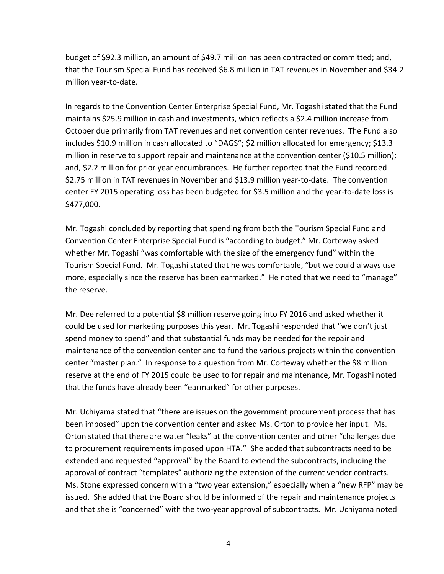budget of \$92.3 million, an amount of \$49.7 million has been contracted or committed; and, that the Tourism Special Fund has received \$6.8 million in TAT revenues in November and \$34.2 million year-to-date.

In regards to the Convention Center Enterprise Special Fund, Mr. Togashi stated that the Fund maintains \$25.9 million in cash and investments, which reflects a \$2.4 million increase from October due primarily from TAT revenues and net convention center revenues. The Fund also includes \$10.9 million in cash allocated to "DAGS"; \$2 million allocated for emergency; \$13.3 million in reserve to support repair and maintenance at the convention center (\$10.5 million); and, \$2.2 million for prior year encumbrances. He further reported that the Fund recorded \$2.75 million in TAT revenues in November and \$13.9 million year-to-date. The convention center FY 2015 operating loss has been budgeted for \$3.5 million and the year-to-date loss is \$477,000.

Mr. Togashi concluded by reporting that spending from both the Tourism Special Fund and Convention Center Enterprise Special Fund is "according to budget." Mr. Corteway asked whether Mr. Togashi "was comfortable with the size of the emergency fund" within the Tourism Special Fund. Mr. Togashi stated that he was comfortable, "but we could always use more, especially since the reserve has been earmarked." He noted that we need to "manage" the reserve.

Mr. Dee referred to a potential \$8 million reserve going into FY 2016 and asked whether it could be used for marketing purposes this year. Mr. Togashi responded that "we don't just spend money to spend" and that substantial funds may be needed for the repair and maintenance of the convention center and to fund the various projects within the convention center "master plan." In response to a question from Mr. Corteway whether the \$8 million reserve at the end of FY 2015 could be used to for repair and maintenance, Mr. Togashi noted that the funds have already been "earmarked" for other purposes.

Mr. Uchiyama stated that "there are issues on the government procurement process that has been imposed" upon the convention center and asked Ms. Orton to provide her input. Ms. Orton stated that there are water "leaks" at the convention center and other "challenges due to procurement requirements imposed upon HTA." She added that subcontracts need to be extended and requested "approval" by the Board to extend the subcontracts, including the approval of contract "templates" authorizing the extension of the current vendor contracts. Ms. Stone expressed concern with a "two year extension," especially when a "new RFP" may be issued. She added that the Board should be informed of the repair and maintenance projects and that she is "concerned" with the two-year approval of subcontracts. Mr. Uchiyama noted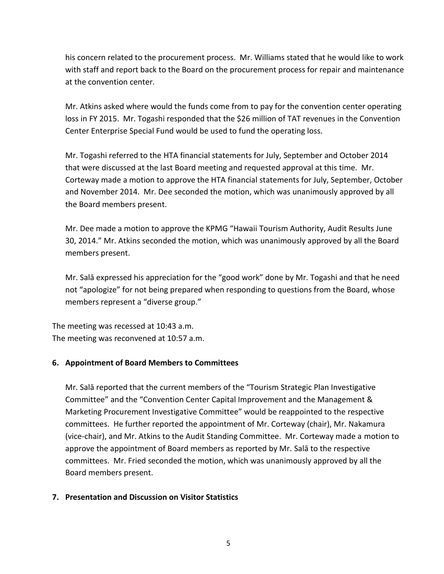his concern related to the procurement process. Mr. Williams stated that he would like to work with staff and report back to the Board on the procurement process for repair and maintenance at the convention center.

Mr. Atkins asked where would the funds come from to pay for the convention center operating loss in FY 2015. Mr. Togashi responded that the \$26 million of TAT revenues in the Convention Center Enterprise Special Fund would be used to fund the operating loss.

Mr. Togashi referred to the HTA financial statements for July, September and October 2014 that were discussed at the last Board meeting and requested approval at this time. Mr. Corteway made a motion to approve the HTA financial statements for July, September, October and November 2014. Mr. Dee seconded the motion, which was unanimously approved by all the Board members present.

Mr. Dee made a motion to approve the KPMG "Hawaii Tourism Authority, Audit Results June 30, 2014." Mr. Atkins seconded the motion, which was unanimously approved by all the Board members present.

Mr. Salā expressed his appreciation for the "good work" done by Mr. Togashi and that he need not "apologize" for not being prepared when responding to questions from the Board, whose members represent a "diverse group."

The meeting was recessed at 10:43 a.m. The meeting was reconvened at 10:57 a.m.

## **6. Appointment of Board Members to Committees**

Mr. Salā reported that the current members of the "Tourism Strategic Plan Investigative Committee" and the "Convention Center Capital Improvement and the Management & Marketing Procurement Investigative Committee" would be reappointed to the respective committees. He further reported the appointment of Mr. Corteway (chair), Mr. Nakamura (vice-chair), and Mr. Atkins to the Audit Standing Committee. Mr. Corteway made a motion to approve the appointment of Board members as reported by Mr. Salā to the respective committees. Mr. Fried seconded the motion, which was unanimously approved by all the Board members present.

#### **7. Presentation and Discussion on Visitor Statistics**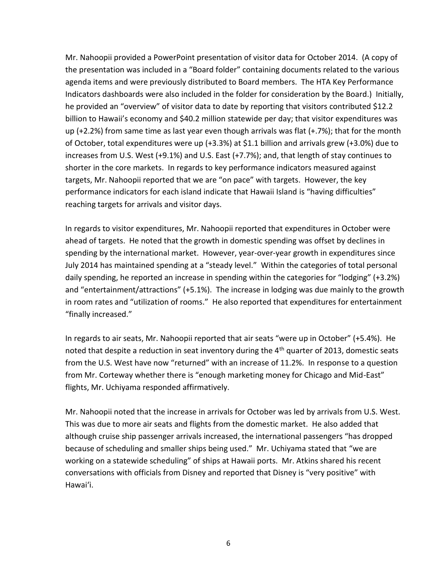Mr. Nahoopii provided a PowerPoint presentation of visitor data for October 2014. (A copy of the presentation was included in a "Board folder" containing documents related to the various agenda items and were previously distributed to Board members. The HTA Key Performance Indicators dashboards were also included in the folder for consideration by the Board.) Initially, he provided an "overview" of visitor data to date by reporting that visitors contributed \$12.2 billion to Hawaii's economy and \$40.2 million statewide per day; that visitor expenditures was up (+2.2%) from same time as last year even though arrivals was flat (+.7%); that for the month of October, total expenditures were up (+3.3%) at \$1.1 billion and arrivals grew (+3.0%) due to increases from U.S. West (+9.1%) and U.S. East (+7.7%); and, that length of stay continues to shorter in the core markets. In regards to key performance indicators measured against targets, Mr. Nahoopii reported that we are "on pace" with targets. However, the key performance indicators for each island indicate that Hawaii Island is "having difficulties" reaching targets for arrivals and visitor days.

In regards to visitor expenditures, Mr. Nahoopii reported that expenditures in October were ahead of targets. He noted that the growth in domestic spending was offset by declines in spending by the international market. However, year-over-year growth in expenditures since July 2014 has maintained spending at a "steady level." Within the categories of total personal daily spending, he reported an increase in spending within the categories for "lodging" (+3.2%) and "entertainment/attractions" (+5.1%). The increase in lodging was due mainly to the growth in room rates and "utilization of rooms." He also reported that expenditures for entertainment "finally increased."

In regards to air seats, Mr. Nahoopii reported that air seats "were up in October" (+5.4%). He noted that despite a reduction in seat inventory during the  $4<sup>th</sup>$  quarter of 2013, domestic seats from the U.S. West have now "returned" with an increase of 11.2%. In response to a question from Mr. Corteway whether there is "enough marketing money for Chicago and Mid-East" flights, Mr. Uchiyama responded affirmatively.

Mr. Nahoopii noted that the increase in arrivals for October was led by arrivals from U.S. West. This was due to more air seats and flights from the domestic market. He also added that although cruise ship passenger arrivals increased, the international passengers "has dropped because of scheduling and smaller ships being used." Mr. Uchiyama stated that "we are working on a statewide scheduling" of ships at Hawaii ports. Mr. Atkins shared his recent conversations with officials from Disney and reported that Disney is "very positive" with Hawai'i.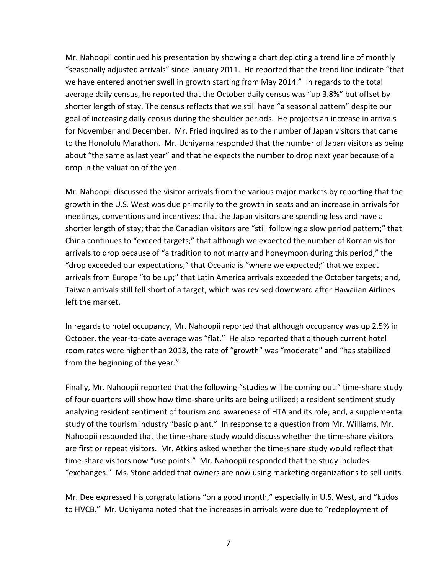Mr. Nahoopii continued his presentation by showing a chart depicting a trend line of monthly "seasonally adjusted arrivals" since January 2011. He reported that the trend line indicate "that we have entered another swell in growth starting from May 2014." In regards to the total average daily census, he reported that the October daily census was "up 3.8%" but offset by shorter length of stay. The census reflects that we still have "a seasonal pattern" despite our goal of increasing daily census during the shoulder periods. He projects an increase in arrivals for November and December. Mr. Fried inquired as to the number of Japan visitors that came to the Honolulu Marathon. Mr. Uchiyama responded that the number of Japan visitors as being about "the same as last year" and that he expects the number to drop next year because of a drop in the valuation of the yen.

Mr. Nahoopii discussed the visitor arrivals from the various major markets by reporting that the growth in the U.S. West was due primarily to the growth in seats and an increase in arrivals for meetings, conventions and incentives; that the Japan visitors are spending less and have a shorter length of stay; that the Canadian visitors are "still following a slow period pattern;" that China continues to "exceed targets;" that although we expected the number of Korean visitor arrivals to drop because of "a tradition to not marry and honeymoon during this period," the "drop exceeded our expectations;" that Oceania is "where we expected;" that we expect arrivals from Europe "to be up;" that Latin America arrivals exceeded the October targets; and, Taiwan arrivals still fell short of a target, which was revised downward after Hawaiian Airlines left the market.

In regards to hotel occupancy, Mr. Nahoopii reported that although occupancy was up 2.5% in October, the year-to-date average was "flat." He also reported that although current hotel room rates were higher than 2013, the rate of "growth" was "moderate" and "has stabilized from the beginning of the year."

Finally, Mr. Nahoopii reported that the following "studies will be coming out:" time-share study of four quarters will show how time-share units are being utilized; a resident sentiment study analyzing resident sentiment of tourism and awareness of HTA and its role; and, a supplemental study of the tourism industry "basic plant." In response to a question from Mr. Williams, Mr. Nahoopii responded that the time-share study would discuss whether the time-share visitors are first or repeat visitors. Mr. Atkins asked whether the time-share study would reflect that time-share visitors now "use points." Mr. Nahoopii responded that the study includes "exchanges." Ms. Stone added that owners are now using marketing organizations to sell units.

Mr. Dee expressed his congratulations "on a good month," especially in U.S. West, and "kudos to HVCB." Mr. Uchiyama noted that the increases in arrivals were due to "redeployment of